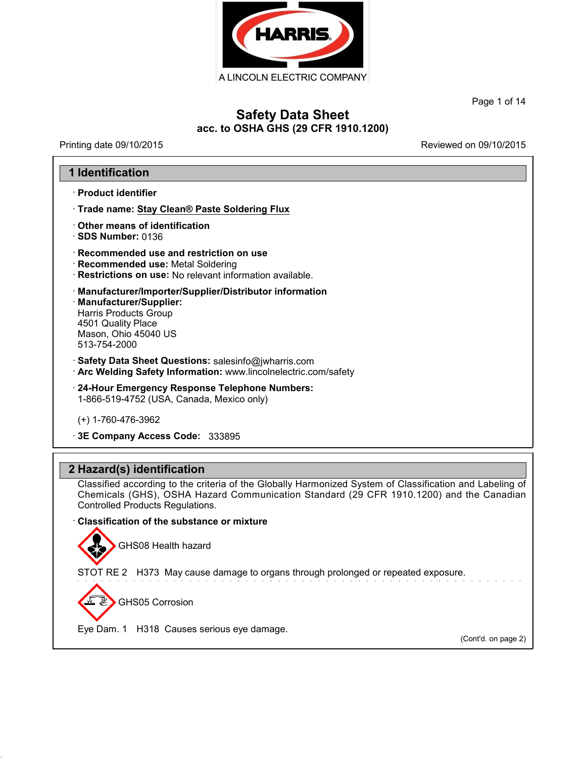

Page 1 of 14

### **Safety Data Sheet acc. to OSHA GHS (29 CFR 1910.1200)**

Printing date 09/10/2015 **Printing date 09/10/2015** 

### **1 Identification**

· **Product identifier**

· **Trade name: Stay Clean® Paste Soldering Flux**

· **Other means of identification** · **SDS Number:** 0136

· **Recommended use and restriction on use**

· **Recommended use:** Metal Soldering

· **Restrictions on use:** No relevant information available.

· **Manufacturer/Importer/Supplier/Distributor information** · **Manufacturer/Supplier:** Harris Products Group

4501 Quality Place Mason, Ohio 45040 US 513-754-2000

· **Safety Data Sheet Questions:** salesinfo@jwharris.com

· **Arc Welding Safety Information:** www.lincolnelectric.com/safety

· **24-Hour Emergency Response Telephone Numbers:** 1-866-519-4752 (USA, Canada, Mexico only)

(+) 1-760-476-3962

· **3E Company Access Code:** 333895

### **2 Hazard(s) identification**

Classified according to the criteria of the Globally Harmonized System of Classification and Labeling of Chemicals (GHS), OSHA Hazard Communication Standard (29 CFR 1910.1200) and the Canadian Controlled Products Regulations.

#### · **Classification of the substance ormixture**

GHS08 Health hazard

STOT RE 2 H373 May cause damage to organs through prolonged or repeated exposure.

GHS05 Corrosion

41.2.4

Eye Dam. 1 H318 Causes serious eye damage.

(Cont'd. on page 2)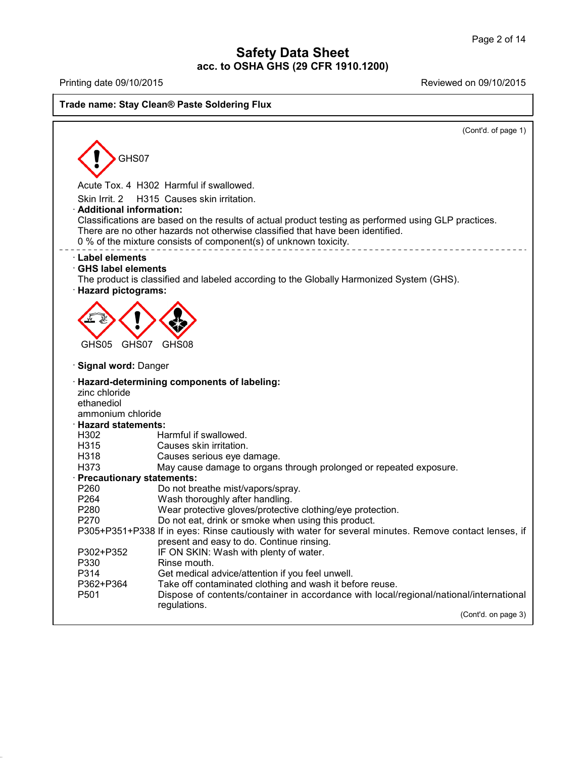41.2.4

Printing date 09/10/2015 Reviewed on 09/10/2015

#### **Trade name: Stay Clean® Paste Soldering Flux**

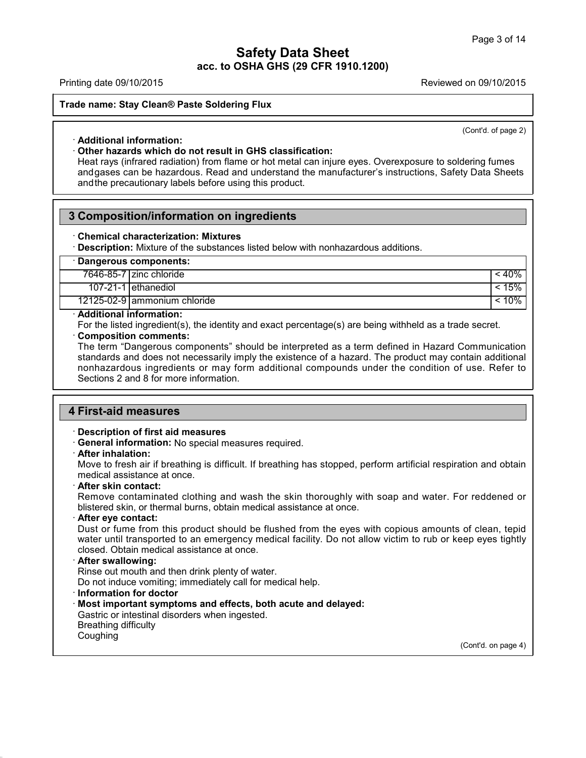Printing date 09/10/2015 Reviewed on 09/10/2015

**Trade name: Stay Clean® Paste Soldering Flux**

(Cont'd. of page 2)

#### · **Additional information:**

#### · **Other hazards which do not result in GHS classification:**

He hame. Stay Clean of Paste Soldering Flux<br>
Additional information:<br>
Other hazards which do not result in GHS classification:<br>
Heat rays (infrared radiation) from flame or hot metal can injure eyes. Overexposure to solder Additional information:<br>
Other hazards which do not result in GHS classification:<br>
Heat rays (infrared radiation) from flame or hot metal can injure eyes. Overexposure to soldering fumes<br>
andgases can be hazardous. Read an Heat rays (infrared radiation) from flame or hot metal can injure eyes. Overexposure to soldering fumes and gases can be hazardous. Read and understand the manufacturer's instructions, Safety Data Shee and the precautionar

### **3 Composition/information on ingredients**

#### · **Chemical characterization: Mixtures**

· **Description:** Mixture of the substances listed below with nonhazardous additions.

| Dangerous components: |                              |       |
|-----------------------|------------------------------|-------|
|                       | 7646-85-7   zinc chloride    | : 40% |
|                       | 107-21-1 ethanediol          | 15%   |
|                       | 12125-02-9 ammonium chloride | 10%   |

#### · **Additional information:**

For the listed ingredient(s), the identity and exact percentage(s) are being withheld as a trade secret.

### · **Composition comments:**

The term "Dangerous components" should be interpreted as a term defined in Hazard Communication standards and does not necessarily imply the existence of a hazard. The product may contain additional nonhazardous ingredients or may form additional compounds under the condition of use. Refer to Sections 2 and 8 for more information.

### **4 First-aid measures**

#### · **Description of first aid measures**

· **General information:** No special measures required.

#### · **After inhalation:**

Move to fresh air if breathing is difficult. If breathing has stopped, perform artificial respiration and obtain medical assistance at once.

#### · **After skin contact:**

Remove contaminated clothing and wash the skin thoroughly with soap and water. For reddened or blistered skin, or thermal burns, obtain medical assistance at once.

#### · **After eye contact:**

Dust or fume from this product should be flushed from the eyes with copious amounts of clean, tepid water until transported to an emergency medical facility. Do not allow victim to rub or keep eyes tightly closed. Obtain medical assistance at once.

#### · **After swallowing:**

Rinse out mouth and then drink plenty of water.

Do not induce vomiting; immediately call for medical help.

#### · **Information fordoctor**

### · **Most important symptoms and effects, both acute and delayed:**

Gastric or intestinal disorders when ingested. Breathing difficulty

Coughing

41.2.4

(Cont'd. on page 4)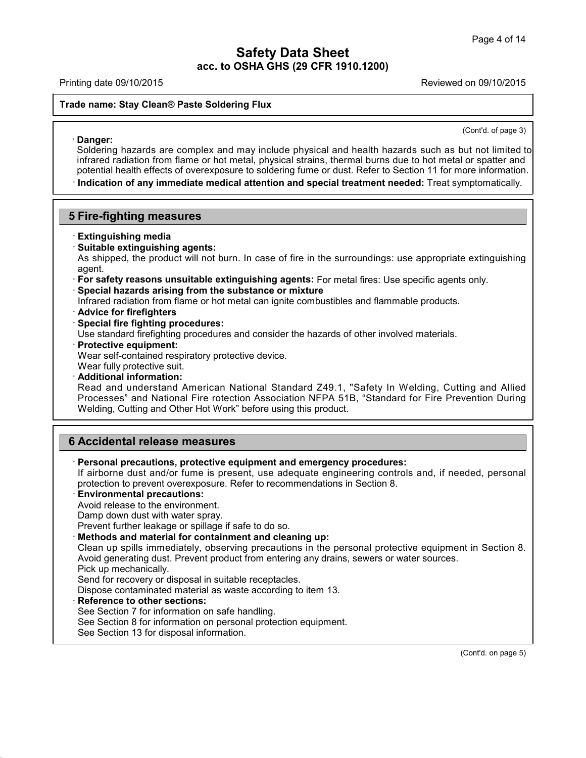#### Printing date 09/10/2015 Reviewed on 09/10/2015

#### **Trade name: Stay Clean® Paste Soldering Flux**

(Cont'd. of page 3)

Danger:<br>
Soldering hazards are complex and may include physical and health hazards such as but not limited to<br>
infrared radiation from flame or hot metal, physical strains, thermal burns due to hot metal or spatter and<br>
po · **Danger:** Soldering Flux<br>
Soldering hazards are complex and may include physical and health hazards such as but not limited to<br>
Soldering hazards are complex and may include physical and health hazards such as but not limited to<br>
in Danger:<br>
Danger:<br>
Soldering hazards are complex and may include physical and health hazards such as but not limited to<br>
infrared radiation from flame or hot metal, physical strains, thermal burns due to hot metal or spatte

#### **5 Fire-fighting measures**

#### · **Extinguishing media**

· **Suitable extinguishing agents:**

As shipped, the product will not burn. In case of fire in the surroundings: use appropriate extinguishing agent.

- · **For safety reasons unsuitable extinguishing agents:** For metal fires: Use specific agents only.
- · **Special hazards arising from the substance or mixture**

Infrared radiation from flame or hot metal can ignite combustibles and flammable products.

- · **Advice for firefighters**
- · **Special fire fighting procedures:**

Use standard firefighting procedures and consider the hazards of other involved materials.

· **Protective equipment:**

Wear self-contained respiratory protective device.

- Wear fully protective suit.
- · **Additional information:**

Read and understand American National Standard Z49.1, "Safety In Welding, Cutting and Allied Processes" and National Fire rotection Association NFPA 51B, "Standard for Fire Prevention During Welding, Cutting and Other Hot Work" before using this product.

### **6 Accidental release measures**

· **Personal precautions, protective equipment and emergency procedures:**

If airborne dust and/or fume is present, use adequate engineering controls and, if needed, personal protection to prevent overexposure. Refer to recommendations in Section 8.

- · **Environmental precautions:**
- Avoid release to the environment.

Damp down dust with water spray.

Prevent further leakage or spillage if safe to do so.

· **Methods and material for containment and cleaning up:**

Clean up spills immediately, observing precautions in the personal protective equipment in Section 8. Avoid generating dust. Prevent product from entering any drains, sewers or water sources.

Pick up mechanically.

41.2.4

Send for recovery or disposal in suitable receptacles.

Dispose contaminated material as waste according to item 13.

· **Reference to other sections:**

See Section 7 for information on safe handling.

- See Section 8 for information on personal protection equipment.
- See Section 13 for disposal information.

(Cont'd. on page 5)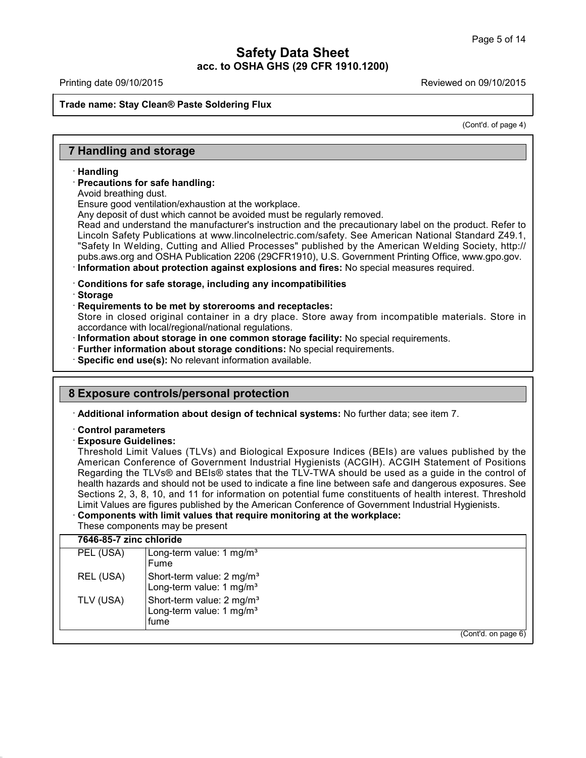#### **Trade name: Stay Clean® Paste Soldering Flux**

(Cont'd. of page 4)

### **7 Handling and storage**

#### · **Handling**

#### · **Precautions for safe handling:**

Avoid breathing dust.

Ensure good ventilation/exhaustion at the workplace.

Any deposit of dust which cannot be avoided must be regularly removed.

Read and understand the manufacturer's instruction and the precautionary label on the product. Refer to Lincoln Safety Publications at www.lincolnelectric.com/safety. See American National Standard Z49.1, "Safety In Welding, Cutting and Allied Processes" published by the American Welding Society, http:// pubs.aws.org and OSHA Publication 2206 (29CFR1910), U.S. Government Printing Office, www.gpo.gov. · **Information about protection against explosions and fires:** No special measures required.

· **Conditions for safe storage, including any incompatibilities**

· **Storage**

41.2.4

### · **Requirements to be met by storerooms and receptacles:**

Store in closed original container in a dry place. Store away from incompatible materials. Store in accordance with local/regional/national regulations.

· **Information about storage in one common storage facility:** No special requirements.

· **Further information about storage conditions:** No special requirements.

· **Specific end use(s):** No relevant information available.

### **8 Exposure controls/personal protection**

· **Additional information about design of technical systems:** No further data; see item 7.

#### · **Control parameters**

#### · **Exposure Guidelines:**

Threshold Limit Values (TLVs) and Biological Exposure Indices (BEIs) are values published by the American Conference of Government Industrial Hygienists (ACGIH). ACGIH Statement of Positions Regarding the TLVs® and BEIs® states that the TLV-TWA should be used as a guide in the control of health hazards and should not be used to indicate a fine line between safe and dangerous exposures. See Sections 2, 3, 8, 10, and 11 for information on potential fume constituents of health interest. Threshold Limit Values are figures published by the American Conference of Government Industrial Hygienists.

### · **Components with limit values that require monitoring at the workplace:**

These components may be present

| PEL (USA) | Long-term value: $1 \text{ mg/m}^3$                                                   |  |
|-----------|---------------------------------------------------------------------------------------|--|
|           | Fume                                                                                  |  |
| REL (USA) | Short-term value: 2 mg/m <sup>3</sup><br>Long-term value: 1 mg/m <sup>3</sup>         |  |
| TLV (USA) | Short-term value: 2 mg/m <sup>3</sup><br>Long-term value: 1 mg/m <sup>3</sup><br>fume |  |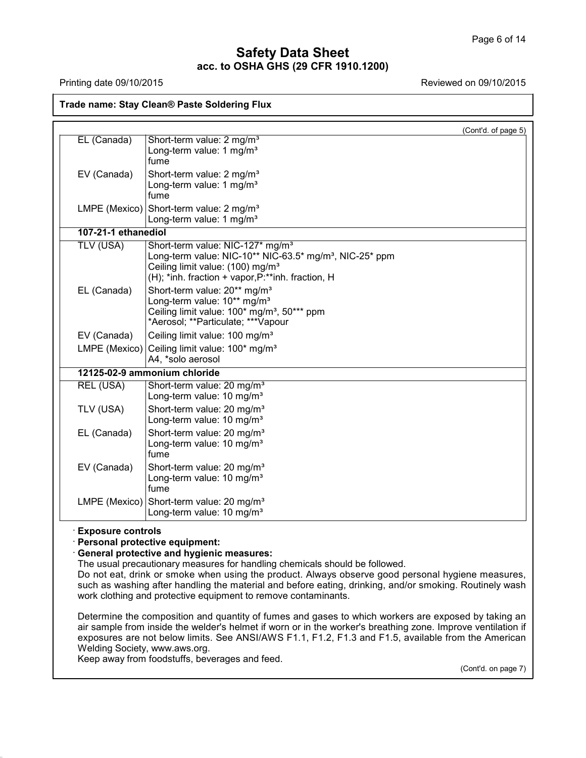**Trade name: Stay Clean® Paste Soldering Flux**

Printing date 09/10/2015 Reviewed on 09/10/2015

(Cont'd. of page 5) EL (Canada) Short-term value: 2 mg/m<sup>3</sup> Long-term value:  $1 \text{ mg/m}^3$ fume EV (Canada) Short-term value:  $2 \text{ mg/m}^3$ Long-term value:  $1 \text{ mg/m}^3$ fume LMPE (Mexico) Short-term value:  $2 \text{ mg/m}^3$ Long-term value: 1 mg/m<sup>3</sup> **107-21-1 ethanediol** TLV (USA) Short-term value: NIC-127\* mg/m<sup>3</sup> Long-term value: NIC-10<sup>\*\*</sup> NIC-63.5<sup>\*</sup> mg/m<sup>3</sup>, NIC-25<sup>\*</sup> ppm Ceiling limit value:  $(100)$  mg/m<sup>3</sup> (H); \*inh. fraction + vapor,P:\*\*inh. fraction, H EL (Canada)  $\vert$  Short-term value: 20<sup>\*\*</sup> mg/m<sup>3</sup> Long-term value: 10\*\* mg/m<sup>3</sup> Ceiling limit value: 100\* mg/m<sup>3</sup>, 50\*\*\* ppm \*Aerosol; \*\*Particulate; \*\*\*Vapour EV (Canada)  $\int$  Ceiling limit value: 100 mg/m<sup>3</sup> LMPE (Mexico) Ceiling limit value:  $100*$  mg/m<sup>3</sup> A4, \*solo aerosol **12125-02-9 ammonium chloride** REL (USA) Short-term value: 20 mg/m<sup>3</sup> Long-term value: 10 mg/m<sup>3</sup> TLV (USA)  $|$ Short-term value: 20 mg/m<sup>3</sup> Long-term value: 10 mg/m<sup>3</sup> EL (Canada) Short-term value:  $20 \text{ mg/m}^3$ Long-term value: 10 mg/m<sup>3</sup> fume EV (Canada) Short-term value:  $20 \text{ mg/m}^3$ Long-term value: 10 mg/m<sup>3</sup> fume LMPE (Mexico) Short-term value: 20 mg/m<sup>3</sup> Long-term value: 10 mg/m<sup>3</sup> · **Exposure controls** · **Personal protective equipment:** · **General protective and hygienic measures:** The usual precautionary measures for handling chemicals should be followed.

Do not eat, drink or smoke when using the product. Always observe good personal hygiene measures, such as washing after handling the material and before eating, drinking, and/or smoking. Routinely wash work clothing and protective equipment to remove contaminants.

Determine the composition and quantity of fumes and gases to which workers are exposed by taking an air sample from inside the welder's helmet if worn or in the worker's breathing zone. Improve ventilation if exposures are not below limits. See ANSI/AWS F1.1, F1.2, F1.3 and F1.5, available from the American Welding Society, www.aws.org.

Keep away from foodstuffs, beverages and feed.

41.2.4

(Cont'd. on page 7)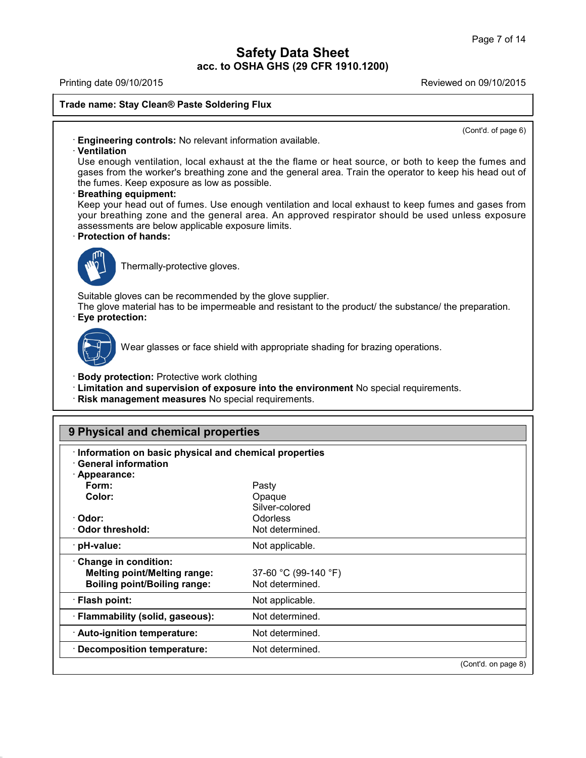Printing date 09/10/2015 Reviewed on 09/10/2015

**Trade name: Stay Clean® Paste Soldering Flux**

(Cont'd. of page 6)

· **Engineering controls:** No relevant information available.

#### · **Ventilation**

Use enough ventilation, local exhaust at the the flame or heat source, or both to keep the fumes and gases from the worker's breathing zone and the general area. Train the operator to keep his head out of the fumes. Keep exposure as low as possible.

#### · **Breathing equipment:**

Keep your head out of fumes. Use enough ventilation and local exhaust to keep fumes and gases from your breathing zone and the general area. An approved respirator should be used unless exposure assessments are below applicable exposure limits.

### · **Protection of hands:**



Thermally-protective gloves.

Suitable gloves can be recommended by the glove supplier.

The glove material has to be impermeable and resistant to the product/ the substance/ the preparation. · **Eye protection:**



41.2.4

Wear glasses or face shield with appropriate shading for brazing operations.

- · **Body protection:** Protective work clothing
- · **Limitation and supervision of exposure into the environment** No special requirements.
- · **Risk management measures** No special requirements.

| Information on basic physical and chemical properties<br>$\cdot$ General information |                      |  |
|--------------------------------------------------------------------------------------|----------------------|--|
| · Appearance:                                                                        |                      |  |
| Form:                                                                                | Pasty                |  |
| Color:                                                                               | Opaque               |  |
|                                                                                      | Silver-colored       |  |
| · Odor:                                                                              | <b>Odorless</b>      |  |
| ⋅ Odor threshold:                                                                    | Not determined.      |  |
| · pH-value:                                                                          | Not applicable.      |  |
| Change in condition:                                                                 |                      |  |
| <b>Melting point/Melting range:</b>                                                  | 37-60 °C (99-140 °F) |  |
| <b>Boiling point/Boiling range:</b>                                                  | Not determined.      |  |
| · Flash point:                                                                       | Not applicable.      |  |
| · Flammability (solid, gaseous):                                                     | Not determined.      |  |
| · Auto-ignition temperature:                                                         | Not determined.      |  |
| · Decomposition temperature:                                                         | Not determined.      |  |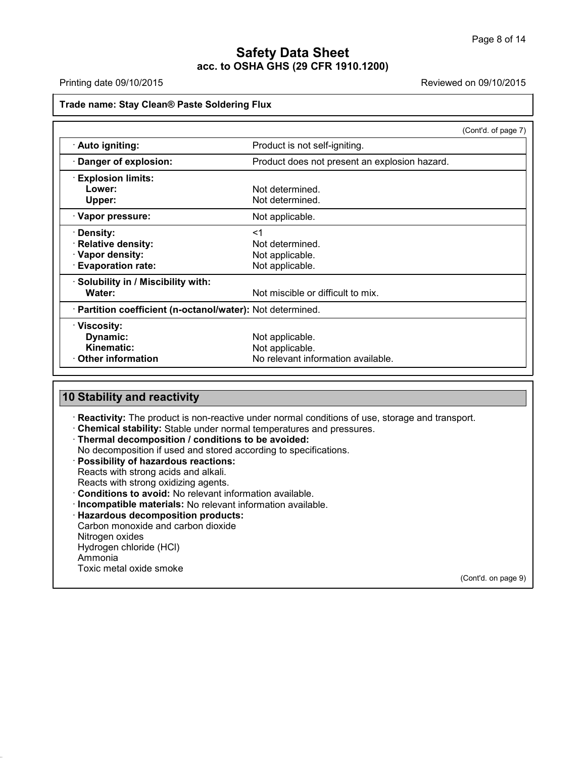Printing date 09/10/2015 Reviewed on 09/10/2015

#### **Trade name: Stay Clean® Paste Soldering Flux**

|                                                            | (Cont'd. of page 7)                           |
|------------------------------------------------------------|-----------------------------------------------|
| · Auto igniting:                                           | Product is not self-igniting.                 |
| · Danger of explosion:                                     | Product does not present an explosion hazard. |
| <b>Explosion limits:</b>                                   |                                               |
| Lower:                                                     | Not determined.                               |
| Upper:                                                     | Not determined.                               |
| · Vapor pressure:                                          | Not applicable.                               |
| · Density:                                                 | $<$ 1                                         |
| · Relative density:                                        | Not determined.                               |
| · Vapor density:                                           | Not applicable.                               |
| <b>Evaporation rate:</b>                                   | Not applicable.                               |
| · Solubility in / Miscibility with:                        |                                               |
| Water:                                                     | Not miscible or difficult to mix.             |
| · Partition coefficient (n-octanol/water): Not determined. |                                               |
| · Viscosity:                                               |                                               |
| Dynamic:                                                   | Not applicable.                               |
| <b>Kinematic:</b>                                          | Not applicable.                               |
| $\cdot$ Other information                                  | No relevant information available.            |

### **10 Stability and reactivity**

· **Reactivity:** The product is non-reactive under normal conditions of use, storage and transport.

- · **Chemical stability:** Stable under normal temperatures and pressures.
- · **Thermal decomposition / conditions to be avoided:**
- No decomposition if used and stored according to specifications.

· **Possibility of hazardous reactions:**

Reacts with strong acids and alkali.

Reacts with strong oxidizing agents.

- · **Conditions to avoid:** No relevant information available.
- · **Incompatible materials:** No relevant information available.

· **Hazardous decomposition products:**

Carbon monoxide and carbon dioxide Nitrogen oxides Hydrogen chloride (HCl) Ammonia Toxic metal oxide smoke

41.2.4

(Cont'd. on page 9)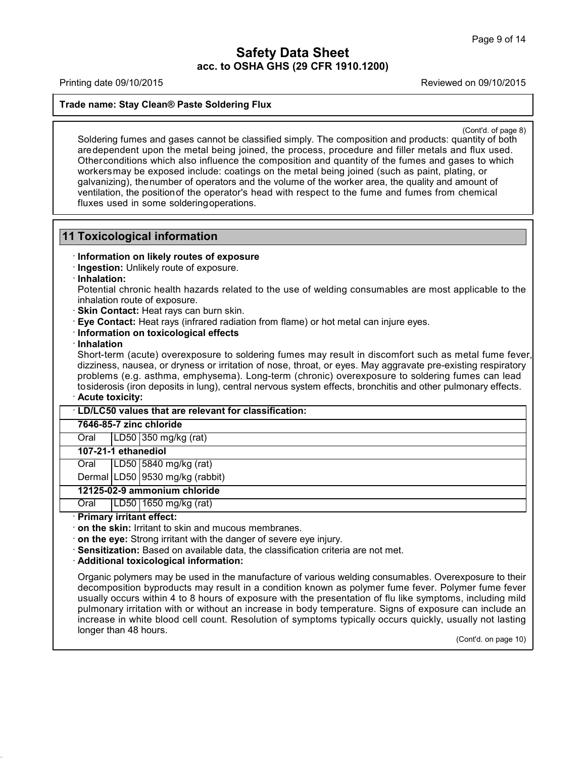Printing date 09/10/2015 Reviewed on 09/10/2015

**Trade name: Stay Clean® Paste Soldering Flux**

(Cont'd. of page 8)

Soldering fumes and gases cannot be classified simply. The composition and products: quantity of page 8)<br>Soldering fumes and gases cannot be classified simply. The composition and products: quantity of both<br>are dependent u de name: Stay Clean® Paste Soldering Flux<br>
Soldering fumes and gases cannot be classified simply. The composition and products: quantity of both<br>
are dependent upon the metal being joined, the process, procedure and filler Contra of page and the conditions and gases cannot be classified simply. The composition and products: quantity of both are dependent upon the metal being joined, the process, procedure and filler metals and flux used.<br>Oth Cont'd of page 8)<br>Soldering fumes and gases cannot be classified simply. The composition and products: quantity of both<br>are dependent upon the metal being joined, the process, procedure and filler metals and flux used.<br>Oth Soldering fumes and gases cannot be classified simply. The composition and products: quantity of both<br>are dependent upon the metal being joined, the process, procedure and filler metals and flux used.<br>Other conditions whic Soldering fumes and gases cannot be classified simply. The composition and products: quantity of both are dependent upon the metal being joined, the process, procedure and filler metals and flux used. Other conditions whic are dependent upon the metal being joined, tl<br>Other conditions which also influence the com<br>workers may be exposed include: coatings on<br>galvanizing), the number of operators and the v<br>ventilation, the position of the opera

### **11 Toxicological information**

#### · **Information on likely routes of exposure**

- · **Ingestion:** Unlikely route of exposure.
- · **Inhalation:**

Potential chronic health hazards related to the use of welding consumables are most applicable to the inhalation route of exposure.

- · **Skin Contact:** Heat rays can burn skin.
- · **Eye Contact:** Heat rays (infrared radiation from flame) or hot metal can injure eyes.
- · **Information on toxicological effects**
- · **Inhalation**

· **Acute toxicity:** inhalation route of exposure.<br> **Skin Contact:** Heat rays can burn skin.<br> **Eye Contact:** Heat rays (infrared radiation from flame) or hot metal can injure eyes.<br> **Information**<br>
Short-term (acute) overexposure to soldering f Skin Contact: Heat rays can burn skin.<br>
Eye Contact: Heat rays (infrared radiation from flame) or hot metal can injure eyes.<br>
Information on toxicological effects<br>
Inhalation<br>
Short-term (acute) overexposure to soldering f Eye Contact: Heat rays (infrared radiation from flame) or hot metal can injure eyes.<br>
Information<br>
Short-term (acute) overexposure to soldering fumes may result in discomfort such as metal fume fever,<br>
dizziness, nausea, o Information on toxicological effects<br>
Inhalation<br>
Short-term (acute) overexposure to soldering fumes may result in discomfort such as metal fume fever,<br>
dizziness, nausea, or dryness or irritation of nose, throat, or eyes.

### · **LD/LC50 values that are relevant for classification:**

#### **7646-85-7 zinc chloride**

Oral LD50 350 mg/kg (rat)

#### **107-21-1 ethanediol**

Oral LD50 5840 mg/kg (rat)

Dermal LD50 9530 mg/kg (rabbit)

#### **12125-02-9 ammonium chloride**

Oral LD50 1650 mg/kg (rat)

#### · **Primary irritant effect:**

41.2.4

· **on the skin:** Irritant to skin and mucous membranes.

· **on the eye:** Strong irritant with the danger of severe eye injury.

· **Sensitization:** Based on available data, the classification criteria are not met.

· **Additional toxicological information:**

Organic polymers may be used in the manufacture of various welding consumables. Overexposure to their decomposition byproducts may result in a condition known as polymer fume fever. Polymer fume fever usually occurs within 4 to 8 hours of exposure with the presentation of flu like symptoms, including mild pulmonary irritation with or without an increase in body temperature. Signs of exposure can include an increase in white blood cell count. Resolution of symptoms typically occurs quickly, usually not lasting longer than 48 hours.

(Cont'd. on page 10)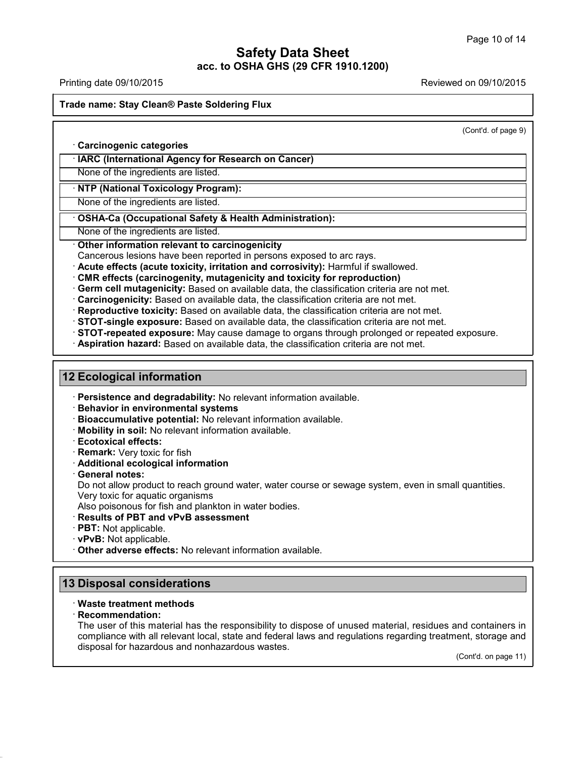# **Safety Data Sheet**

**acc. to OSHA GHS (29 CFR 1910.1200)**

Printing date 09/10/2015 Reviewed on 09/10/2015

**Trade name: Stay Clean® Paste Soldering Flux**

(Cont'd. of page 9)

· **Carcinogenic categories**

· **IARC (International Agency for Research on Cancer)**

None of the ingredients are listed.

· **NTP (National Toxicology Program):**

None of the ingredients are listed.

· **OSHA-Ca (Occupational Safety & Health Administration):**

None of the ingredients are listed.

· **Other information relevant to carcinogenicity**

Cancerous lesions have been reported in persons exposed to arc rays.

· **Acute effects (acute toxicity, irritation and corrosivity):** Harmful if swallowed.

- · **CMR effects (carcinogenity, mutagenicity and toxicity for reproduction)**
- · **Germ cell mutagenicity:** Based on available data, the classification criteria are not met.

· **Carcinogenicity:** Based on available data, the classification criteria are not met.

· **Reproductive toxicity:** Based on available data, the classification criteria are not met.

· **STOT-single exposure:** Based on available data, the classification criteria are not met.

· **STOT-repeated exposure:** May cause damage to organs through prolonged or repeated exposure.

· **Aspiration hazard:** Based on available data, the classification criteria are not met.

### **12 Ecological information**

· **Persistence and degradability:** No relevant information available.

- · **Behavior in environmental systems**
- · **Bioaccumulative potential:** No relevant information available.
- · **Mobility in soil:** No relevant information available.
- · **Ecotoxical effects:**
- · **Remark:** Very toxic for fish
- · **Additional ecological information**
- · **General notes:**

Do not allow product to reach ground water, water course or sewage system, even in small quantities. Very toxic for aquatic organisms

Also poisonous for fish and plankton in water bodies.

- · **Results of PBT and vPvB assessment**
- · **PBT:** Not applicable.
- · **vPvB:** Not applicable.
- · **Other adverse effects:** No relevant information available.

### **13 Disposal considerations**

#### · **Waste treatment methods**

#### · **Recommendation:**

41.2.4

The user of this material has the responsibility to dispose of unused material, residues and containers in compliance with all relevant local, state and federal laws and regulations regarding treatment, storage and disposal for hazardous and nonhazardous wastes.

(Cont'd. on page 11)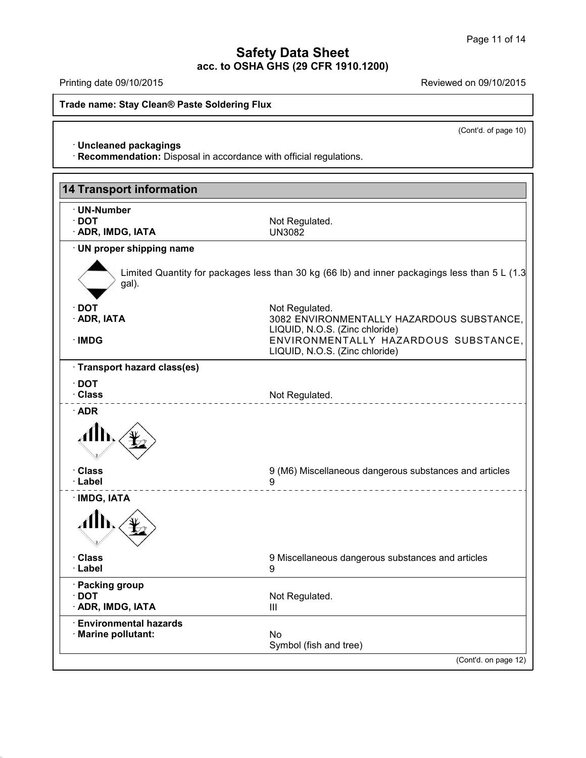**Trade name: Stay Clean® Paste Soldering Flux**

(Cont'd. of page 10)

· **Uncleaned packagings**

41.2.4

· **Recommendation:** Disposal in accordance with official regulations.

| <b>14 Transport information</b>                 |                                                                                                          |
|-------------------------------------------------|----------------------------------------------------------------------------------------------------------|
| · UN-Number<br>$\cdot$ DOT<br>· ADR, IMDG, IATA | Not Regulated.<br><b>UN3082</b>                                                                          |
| · UN proper shipping name                       |                                                                                                          |
| gal).                                           | Limited Quantity for packages less than 30 kg (66 lb) and inner packagings less than 5 L (1.3            |
| ∙ DOT                                           | Not Regulated.                                                                                           |
| · ADR, IATA                                     | 3082 ENVIRONMENTALLY HAZARDOUS SUBSTANCE,                                                                |
| · IMDG                                          | LIQUID, N.O.S. (Zinc chloride)<br>ENVIRONMENTALLY HAZARDOUS SUBSTANCE,<br>LIQUID, N.O.S. (Zinc chloride) |
| · Transport hazard class(es)                    |                                                                                                          |
| $\cdot$ DOT                                     |                                                                                                          |
| · Class                                         | Not Regulated.                                                                                           |
| · Class                                         | 9 (M6) Miscellaneous dangerous substances and articles                                                   |
| · Label                                         | 9                                                                                                        |
| · IMDG, IATA                                    |                                                                                                          |
| · Class<br>· Label                              | 9 Miscellaneous dangerous substances and articles<br>9                                                   |
| · Packing group<br>$\cdot$ DOT                  | Not Regulated.                                                                                           |
| · ADR, IMDG, IATA                               | Ш                                                                                                        |
| <b>Environmental hazards</b>                    |                                                                                                          |
| · Marine pollutant:                             | No.<br>Symbol (fish and tree)                                                                            |
|                                                 | (Cont'd. on page 12)                                                                                     |

Printing date 09/10/2015 **Reviewed on 09/10/2015**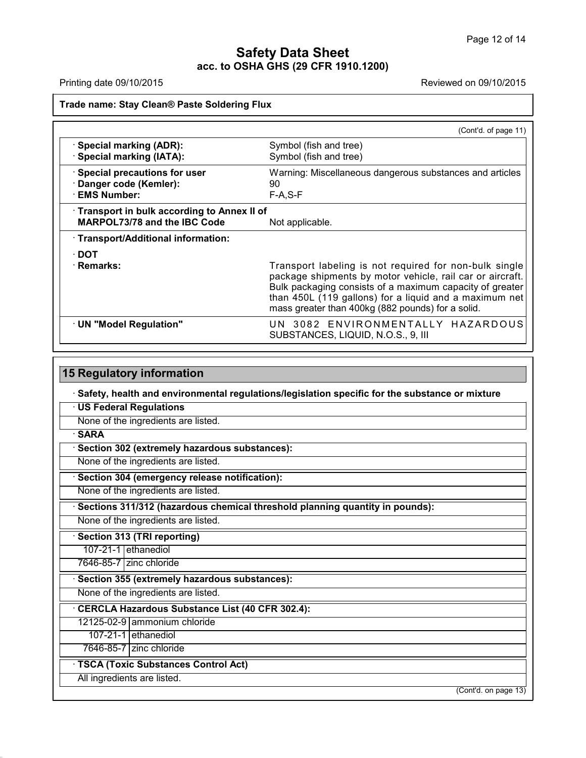41.2.4

Printing date 09/10/2015 **Reviewed on 09/10/2015** 

**Trade name: Stay Clean® Paste Soldering Flux**

|                                                                            | (Cont'd. of page 11)                                                                                                                                                                                                                                                                           |
|----------------------------------------------------------------------------|------------------------------------------------------------------------------------------------------------------------------------------------------------------------------------------------------------------------------------------------------------------------------------------------|
| · Special marking (ADR):<br>· Special marking (IATA):                      | Symbol (fish and tree)<br>Symbol (fish and tree)                                                                                                                                                                                                                                               |
| · Special precautions for user<br>· Danger code (Kemler):<br>· EMS Number: | Warning: Miscellaneous dangerous substances and articles<br>90<br>$F-A, S-F$                                                                                                                                                                                                                   |
| Transport in bulk according to Annex II of<br>MARPOL73/78 and the IBC Code | Not applicable.                                                                                                                                                                                                                                                                                |
| · Transport/Additional information:                                        |                                                                                                                                                                                                                                                                                                |
| ∙ DOT<br>· Remarks:                                                        | Transport labeling is not required for non-bulk single<br>package shipments by motor vehicle, rail car or aircraft.<br>Bulk packaging consists of a maximum capacity of greater<br>than 450L (119 gallons) for a liquid and a maximum net<br>mass greater than 400kg (882 pounds) for a solid. |
| · UN "Model Regulation"                                                    | UN 3082 ENVIRONMENTALLY HAZARDOUS<br>SUBSTANCES, LIQUID, N.O.S., 9, III                                                                                                                                                                                                                        |

| Safety, health and environmental regulations/legislation specific for the substance or mixture |  |
|------------------------------------------------------------------------------------------------|--|
| <b>US Federal Regulations</b>                                                                  |  |
| None of the ingredients are listed.                                                            |  |
| <b>SARA</b>                                                                                    |  |
| Section 302 (extremely hazardous substances):                                                  |  |
| None of the ingredients are listed.                                                            |  |
| Section 304 (emergency release notification):                                                  |  |
| None of the ingredients are listed.                                                            |  |
| Sections 311/312 (hazardous chemical threshold planning quantity in pounds):                   |  |
| None of the ingredients are listed.                                                            |  |
| · Section 313 (TRI reporting)                                                                  |  |
| 107-21-1 ethanediol                                                                            |  |
| 7646-85-7 zinc chloride                                                                        |  |
| Section 355 (extremely hazardous substances):                                                  |  |
| None of the ingredients are listed.                                                            |  |
| CERCLA Hazardous Substance List (40 CFR 302.4):                                                |  |
| 12125-02-9 ammonium chloride                                                                   |  |
| 107-21-1 ethanediol                                                                            |  |
| 7646-85-7 zinc chloride                                                                        |  |
| · TSCA (Toxic Substances Control Act)                                                          |  |
| All ingredients are listed.                                                                    |  |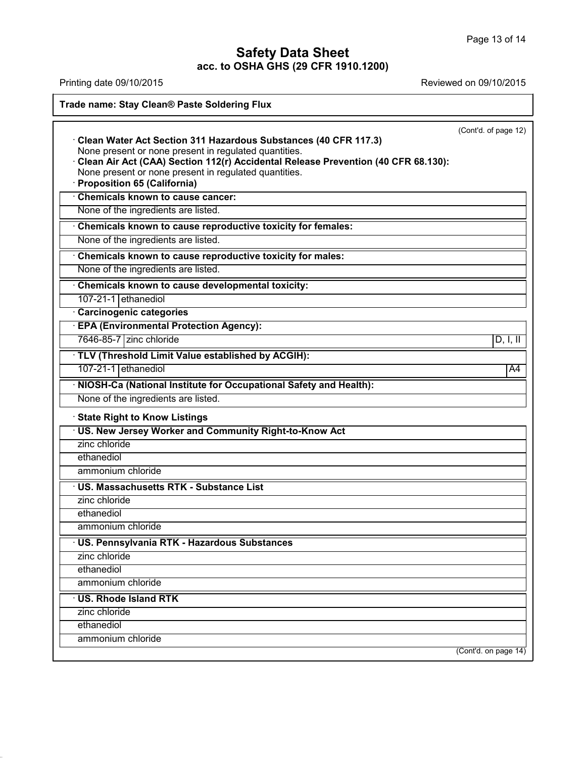## **Safety Data Sheet**

**acc. to OSHA GHS (29 CFR 1910.1200)**

| Printing date 09/10/2015                                                                                                                                                                                      | Reviewed on 09/10/2015 |
|---------------------------------------------------------------------------------------------------------------------------------------------------------------------------------------------------------------|------------------------|
| Trade name: Stay Clean® Paste Soldering Flux                                                                                                                                                                  |                        |
|                                                                                                                                                                                                               | (Cont'd. of page 12)   |
| Clean Water Act Section 311 Hazardous Substances (40 CFR 117.3)<br>None present or none present in regulated quantities.<br>Clean Air Act (CAA) Section 112(r) Accidental Release Prevention (40 CFR 68.130): |                        |
| None present or none present in regulated quantities.<br>· Proposition 65 (California)                                                                                                                        |                        |
| Chemicals known to cause cancer:                                                                                                                                                                              |                        |
| None of the ingredients are listed.                                                                                                                                                                           |                        |
| Chemicals known to cause reproductive toxicity for females:                                                                                                                                                   |                        |
| None of the ingredients are listed.                                                                                                                                                                           |                        |
| Chemicals known to cause reproductive toxicity for males:                                                                                                                                                     |                        |
| None of the ingredients are listed.                                                                                                                                                                           |                        |
| Chemicals known to cause developmental toxicity:                                                                                                                                                              |                        |
| 107-21-1 ethanediol                                                                                                                                                                                           |                        |
| Carcinogenic categories                                                                                                                                                                                       |                        |
| <b>EPA (Environmental Protection Agency):</b>                                                                                                                                                                 |                        |
| 7646-85-7 zinc chloride                                                                                                                                                                                       | D, I, II               |
| · TLV (Threshold Limit Value established by ACGIH):                                                                                                                                                           |                        |
| 107-21-1 ethanediol                                                                                                                                                                                           | A4                     |
| · NIOSH-Ca (National Institute for Occupational Safety and Health):                                                                                                                                           |                        |
| None of the ingredients are listed.                                                                                                                                                                           |                        |
| <b>State Right to Know Listings</b>                                                                                                                                                                           |                        |
| · US. New Jersey Worker and Community Right-to-Know Act                                                                                                                                                       |                        |
| zinc chloride                                                                                                                                                                                                 |                        |
| ethanediol                                                                                                                                                                                                    |                        |
| ammonium chloride                                                                                                                                                                                             |                        |
| · US. Massachusetts RTK - Substance List                                                                                                                                                                      |                        |
| zinc chloride                                                                                                                                                                                                 |                        |
| ethanediol                                                                                                                                                                                                    |                        |
| ammonium chloride                                                                                                                                                                                             |                        |
| · US. Pennsylvania RTK - Hazardous Substances                                                                                                                                                                 |                        |
| zinc chloride                                                                                                                                                                                                 |                        |
| ethanediol                                                                                                                                                                                                    |                        |
| ammonium chloride                                                                                                                                                                                             |                        |
| <b>US. Rhode Island RTK</b>                                                                                                                                                                                   |                        |
| zinc chloride                                                                                                                                                                                                 |                        |
| ethanediol                                                                                                                                                                                                    |                        |
| ammonium chloride                                                                                                                                                                                             |                        |

41.2.4